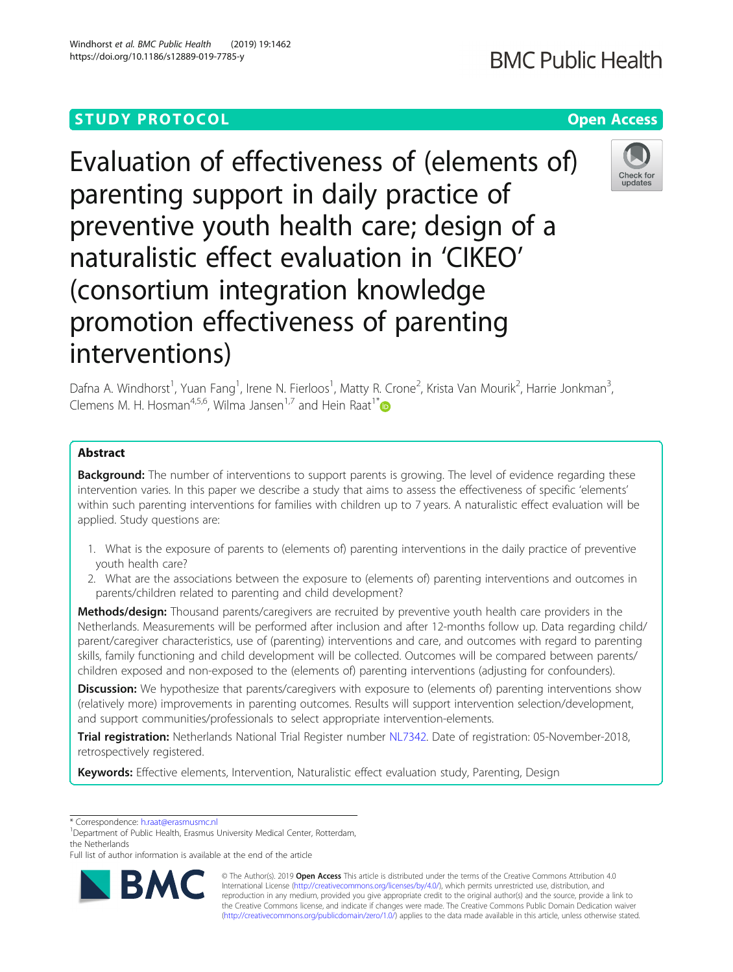Windhorst et al. BMC Public Health (2019) 19:1462

## **STUDY PROTOCOL CONSUMING THE RESERVITE STUDY PROTOCOL**

# **BMC Public Health**

Evaluation of effectiveness of (elements of) parenting support in daily practice of preventive youth health care; design of a naturalistic effect evaluation in 'CIKEO' (consortium integration knowledge promotion effectiveness of parenting interventions)



Dafna A. Windhorst<sup>1</sup>, Yuan Fang<sup>1</sup>, Irene N. Fierloos<sup>1</sup>, Matty R. Crone<sup>2</sup>, Krista Van Mourik<sup>2</sup>, Harrie Jonkman<sup>3</sup> , Clemens M. H. Hosman<sup>4,5,6</sup>, Wilma Jansen<sup>1,7</sup> and Hein Raat<sup>1\*</sup>

### Abstract

**Background:** The number of interventions to support parents is growing. The level of evidence regarding these intervention varies. In this paper we describe a study that aims to assess the effectiveness of specific 'elements' within such parenting interventions for families with children up to 7 years. A naturalistic effect evaluation will be applied. Study questions are:

- 1. What is the exposure of parents to (elements of) parenting interventions in the daily practice of preventive youth health care?
- 2. What are the associations between the exposure to (elements of) parenting interventions and outcomes in parents/children related to parenting and child development?

Methods/design: Thousand parents/caregivers are recruited by preventive youth health care providers in the Netherlands. Measurements will be performed after inclusion and after 12-months follow up. Data regarding child/ parent/caregiver characteristics, use of (parenting) interventions and care, and outcomes with regard to parenting skills, family functioning and child development will be collected. Outcomes will be compared between parents/ children exposed and non-exposed to the (elements of) parenting interventions (adjusting for confounders).

**Discussion:** We hypothesize that parents/caregivers with exposure to (elements of) parenting interventions show (relatively more) improvements in parenting outcomes. Results will support intervention selection/development, and support communities/professionals to select appropriate intervention-elements.

Trial registration: Netherlands National Trial Register number [NL7342.](https://www.trialregister.nl/trial/7342) Date of registration: 05-November-2018, retrospectively registered.

Keywords: Effective elements, Intervention, Naturalistic effect evaluation study, Parenting, Design

\* Correspondence: [h.raat@erasmusmc.nl](mailto:h.raat@erasmusmc.nl) <sup>1</sup>

<sup>1</sup>Department of Public Health, Erasmus University Medical Center, Rotterdam, the Netherlands

Full list of author information is available at the end of the article



© The Author(s). 2019 Open Access This article is distributed under the terms of the Creative Commons Attribution 4.0 International License [\(http://creativecommons.org/licenses/by/4.0/](http://creativecommons.org/licenses/by/4.0/)), which permits unrestricted use, distribution, and reproduction in any medium, provided you give appropriate credit to the original author(s) and the source, provide a link to the Creative Commons license, and indicate if changes were made. The Creative Commons Public Domain Dedication waiver [\(http://creativecommons.org/publicdomain/zero/1.0/](http://creativecommons.org/publicdomain/zero/1.0/)) applies to the data made available in this article, unless otherwise stated.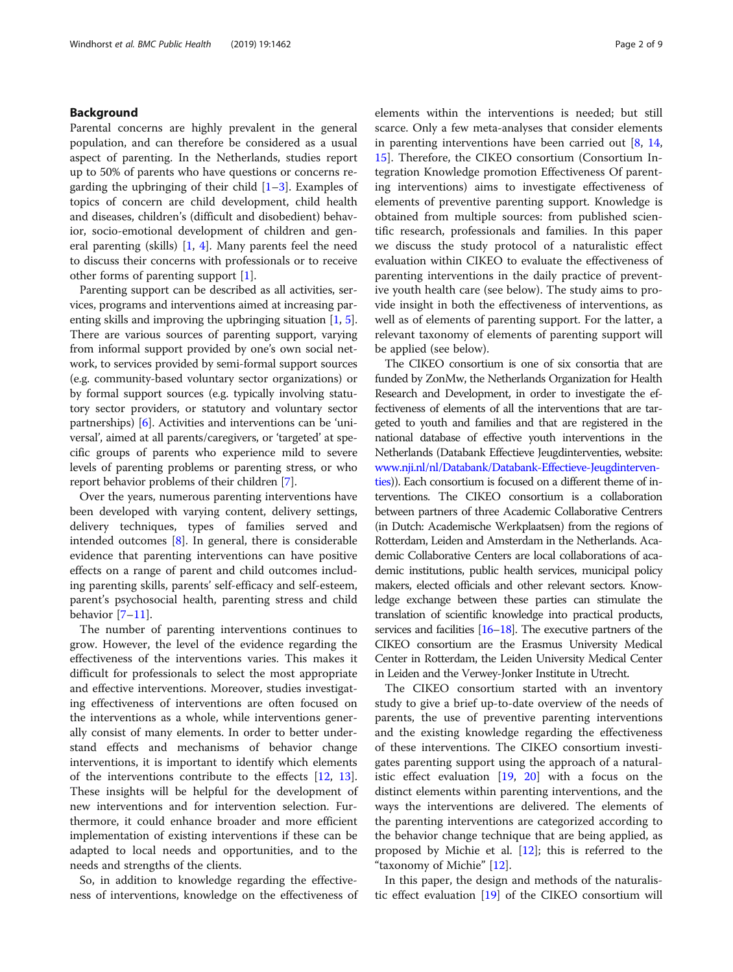#### Background

Parental concerns are highly prevalent in the general population, and can therefore be considered as a usual aspect of parenting. In the Netherlands, studies report up to 50% of parents who have questions or concerns regarding the upbringing of their child  $[1-3]$  $[1-3]$  $[1-3]$  $[1-3]$ . Examples of topics of concern are child development, child health and diseases, children's (difficult and disobedient) behavior, socio-emotional development of children and general parenting (skills) [\[1](#page-7-0), [4\]](#page-7-0). Many parents feel the need to discuss their concerns with professionals or to receive other forms of parenting support [\[1](#page-7-0)].

Parenting support can be described as all activities, services, programs and interventions aimed at increasing parenting skills and improving the upbringing situation [[1,](#page-7-0) [5](#page-7-0)]. There are various sources of parenting support, varying from informal support provided by one's own social network, to services provided by semi-formal support sources (e.g. community-based voluntary sector organizations) or by formal support sources (e.g. typically involving statutory sector providers, or statutory and voluntary sector partnerships) [[6](#page-7-0)]. Activities and interventions can be 'universal', aimed at all parents/caregivers, or 'targeted' at specific groups of parents who experience mild to severe levels of parenting problems or parenting stress, or who report behavior problems of their children [\[7](#page-7-0)].

Over the years, numerous parenting interventions have been developed with varying content, delivery settings, delivery techniques, types of families served and intended outcomes [[8\]](#page-7-0). In general, there is considerable evidence that parenting interventions can have positive effects on a range of parent and child outcomes including parenting skills, parents' self-efficacy and self-esteem, parent's psychosocial health, parenting stress and child behavior [[7](#page-7-0)–[11\]](#page-7-0).

The number of parenting interventions continues to grow. However, the level of the evidence regarding the effectiveness of the interventions varies. This makes it difficult for professionals to select the most appropriate and effective interventions. Moreover, studies investigating effectiveness of interventions are often focused on the interventions as a whole, while interventions generally consist of many elements. In order to better understand effects and mechanisms of behavior change interventions, it is important to identify which elements of the interventions contribute to the effects [\[12](#page-7-0), [13](#page-7-0)]. These insights will be helpful for the development of new interventions and for intervention selection. Furthermore, it could enhance broader and more efficient implementation of existing interventions if these can be adapted to local needs and opportunities, and to the needs and strengths of the clients.

So, in addition to knowledge regarding the effectiveness of interventions, knowledge on the effectiveness of

elements within the interventions is needed; but still scarce. Only a few meta-analyses that consider elements in parenting interventions have been carried out [[8,](#page-7-0) [14](#page-7-0), [15\]](#page-7-0). Therefore, the CIKEO consortium (Consortium Integration Knowledge promotion Effectiveness Of parenting interventions) aims to investigate effectiveness of elements of preventive parenting support. Knowledge is obtained from multiple sources: from published scientific research, professionals and families. In this paper we discuss the study protocol of a naturalistic effect evaluation within CIKEO to evaluate the effectiveness of parenting interventions in the daily practice of preventive youth health care (see below). The study aims to provide insight in both the effectiveness of interventions, as well as of elements of parenting support. For the latter, a relevant taxonomy of elements of parenting support will be applied (see below).

The CIKEO consortium is one of six consortia that are funded by ZonMw, the Netherlands Organization for Health Research and Development, in order to investigate the effectiveness of elements of all the interventions that are targeted to youth and families and that are registered in the national database of effective youth interventions in the Netherlands (Databank Effectieve Jeugdinterventies, website: [www.nji.nl/nl/Databank/Databank-Effectieve-Jeugdinterven](http://www.nji.nl/nl/Databank/Databank-Effectieve-Jeugdinterventies)[ties\)](http://www.nji.nl/nl/Databank/Databank-Effectieve-Jeugdinterventies)). Each consortium is focused on a different theme of interventions. The CIKEO consortium is a collaboration between partners of three Academic Collaborative Centrers (in Dutch: Academische Werkplaatsen) from the regions of Rotterdam, Leiden and Amsterdam in the Netherlands. Academic Collaborative Centers are local collaborations of academic institutions, public health services, municipal policy makers, elected officials and other relevant sectors. Knowledge exchange between these parties can stimulate the translation of scientific knowledge into practical products, services and facilities [\[16](#page-7-0)–[18\]](#page-7-0). The executive partners of the CIKEO consortium are the Erasmus University Medical Center in Rotterdam, the Leiden University Medical Center in Leiden and the Verwey-Jonker Institute in Utrecht.

The CIKEO consortium started with an inventory study to give a brief up-to-date overview of the needs of parents, the use of preventive parenting interventions and the existing knowledge regarding the effectiveness of these interventions. The CIKEO consortium investigates parenting support using the approach of a naturalistic effect evaluation [[19](#page-7-0), [20\]](#page-7-0) with a focus on the distinct elements within parenting interventions, and the ways the interventions are delivered. The elements of the parenting interventions are categorized according to the behavior change technique that are being applied, as proposed by Michie et al.  $[12]$  $[12]$ ; this is referred to the "taxonomy of Michie" [[12\]](#page-7-0).

In this paper, the design and methods of the naturalistic effect evaluation [[19\]](#page-7-0) of the CIKEO consortium will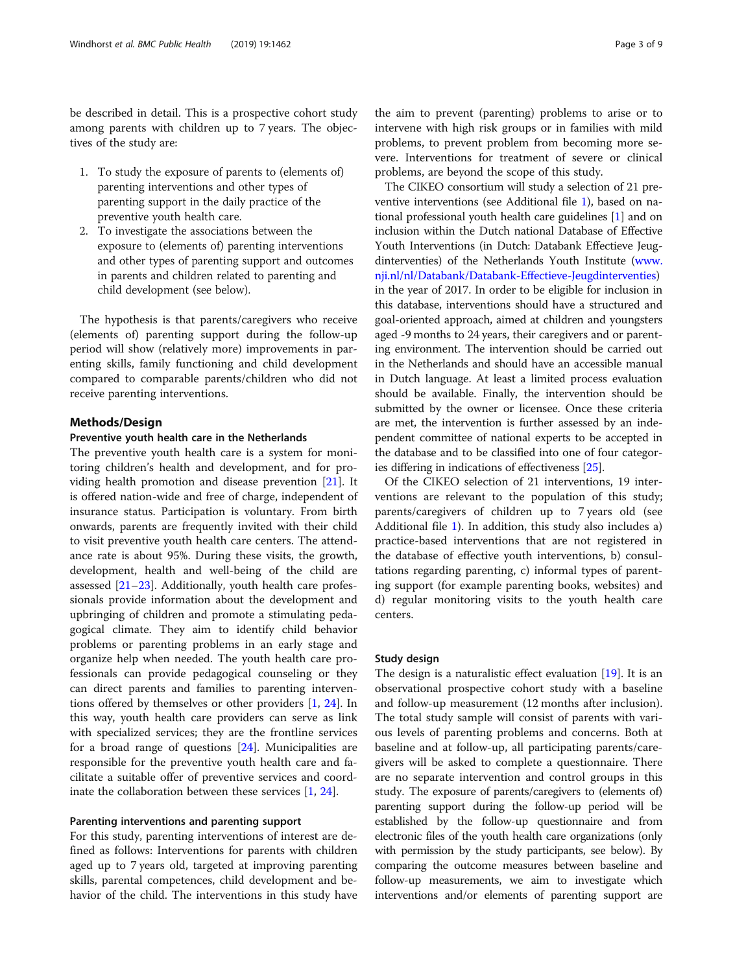be described in detail. This is a prospective cohort study among parents with children up to 7 years. The objectives of the study are:

- 1. To study the exposure of parents to (elements of) parenting interventions and other types of parenting support in the daily practice of the preventive youth health care.
- 2. To investigate the associations between the exposure to (elements of) parenting interventions and other types of parenting support and outcomes in parents and children related to parenting and child development (see below).

The hypothesis is that parents/caregivers who receive (elements of) parenting support during the follow-up period will show (relatively more) improvements in parenting skills, family functioning and child development compared to comparable parents/children who did not receive parenting interventions.

#### Methods/Design

#### Preventive youth health care in the Netherlands

The preventive youth health care is a system for monitoring children's health and development, and for providing health promotion and disease prevention [[21\]](#page-7-0). It is offered nation-wide and free of charge, independent of insurance status. Participation is voluntary. From birth onwards, parents are frequently invited with their child to visit preventive youth health care centers. The attendance rate is about 95%. During these visits, the growth, development, health and well-being of the child are assessed [[21](#page-7-0)–[23](#page-7-0)]. Additionally, youth health care professionals provide information about the development and upbringing of children and promote a stimulating pedagogical climate. They aim to identify child behavior problems or parenting problems in an early stage and organize help when needed. The youth health care professionals can provide pedagogical counseling or they can direct parents and families to parenting interventions offered by themselves or other providers [\[1](#page-7-0), [24](#page-7-0)]. In this way, youth health care providers can serve as link with specialized services; they are the frontline services for a broad range of questions [[24\]](#page-7-0). Municipalities are responsible for the preventive youth health care and facilitate a suitable offer of preventive services and coordinate the collaboration between these services [\[1](#page-7-0), [24](#page-7-0)].

#### Parenting interventions and parenting support

For this study, parenting interventions of interest are defined as follows: Interventions for parents with children aged up to 7 years old, targeted at improving parenting skills, parental competences, child development and behavior of the child. The interventions in this study have

the aim to prevent (parenting) problems to arise or to intervene with high risk groups or in families with mild problems, to prevent problem from becoming more severe. Interventions for treatment of severe or clinical problems, are beyond the scope of this study.

The CIKEO consortium will study a selection of 21 preventive interventions (see Additional file [1](#page-6-0)), based on national professional youth health care guidelines [[1\]](#page-7-0) and on inclusion within the Dutch national Database of Effective Youth Interventions (in Dutch: Databank Effectieve Jeugdinterventies) of the Netherlands Youth Institute [\(www.](http://www.nji.nl/nl/Databank/Databank-Effectieve-Jeugdinterventies) [nji.nl/nl/Databank/Databank-Effectieve-Jeugdinterventies](http://www.nji.nl/nl/Databank/Databank-Effectieve-Jeugdinterventies)) in the year of 2017. In order to be eligible for inclusion in this database, interventions should have a structured and goal-oriented approach, aimed at children and youngsters aged -9 months to 24 years, their caregivers and or parenting environment. The intervention should be carried out in the Netherlands and should have an accessible manual in Dutch language. At least a limited process evaluation should be available. Finally, the intervention should be submitted by the owner or licensee. Once these criteria are met, the intervention is further assessed by an independent committee of national experts to be accepted in the database and to be classified into one of four categories differing in indications of effectiveness [[25](#page-7-0)].

Of the CIKEO selection of 21 interventions, 19 interventions are relevant to the population of this study; parents/caregivers of children up to 7 years old (see Additional file [1\)](#page-6-0). In addition, this study also includes a) practice-based interventions that are not registered in the database of effective youth interventions, b) consultations regarding parenting, c) informal types of parenting support (for example parenting books, websites) and d) regular monitoring visits to the youth health care centers.

#### Study design

The design is a naturalistic effect evaluation [[19\]](#page-7-0). It is an observational prospective cohort study with a baseline and follow-up measurement (12 months after inclusion). The total study sample will consist of parents with various levels of parenting problems and concerns. Both at baseline and at follow-up, all participating parents/caregivers will be asked to complete a questionnaire. There are no separate intervention and control groups in this study. The exposure of parents/caregivers to (elements of) parenting support during the follow-up period will be established by the follow-up questionnaire and from electronic files of the youth health care organizations (only with permission by the study participants, see below). By comparing the outcome measures between baseline and follow-up measurements, we aim to investigate which interventions and/or elements of parenting support are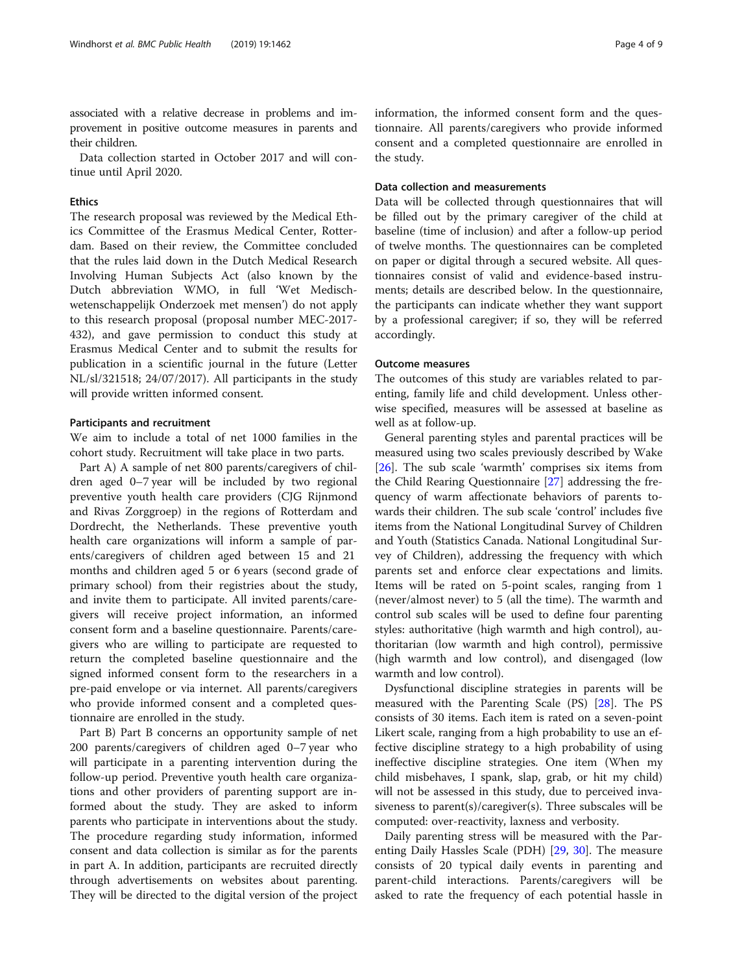associated with a relative decrease in problems and improvement in positive outcome measures in parents and their children.

Data collection started in October 2017 and will continue until April 2020.

#### Ethics

The research proposal was reviewed by the Medical Ethics Committee of the Erasmus Medical Center, Rotterdam. Based on their review, the Committee concluded that the rules laid down in the Dutch Medical Research Involving Human Subjects Act (also known by the Dutch abbreviation WMO, in full 'Wet Medischwetenschappelijk Onderzoek met mensen') do not apply to this research proposal (proposal number MEC-2017- 432), and gave permission to conduct this study at Erasmus Medical Center and to submit the results for publication in a scientific journal in the future (Letter NL/sl/321518; 24/07/2017). All participants in the study will provide written informed consent.

#### Participants and recruitment

We aim to include a total of net 1000 families in the cohort study. Recruitment will take place in two parts.

Part A) A sample of net 800 parents/caregivers of children aged 0–7 year will be included by two regional preventive youth health care providers (CJG Rijnmond and Rivas Zorggroep) in the regions of Rotterdam and Dordrecht, the Netherlands. These preventive youth health care organizations will inform a sample of parents/caregivers of children aged between 15 and 21 months and children aged 5 or 6 years (second grade of primary school) from their registries about the study, and invite them to participate. All invited parents/caregivers will receive project information, an informed consent form and a baseline questionnaire. Parents/caregivers who are willing to participate are requested to return the completed baseline questionnaire and the signed informed consent form to the researchers in a pre-paid envelope or via internet. All parents/caregivers who provide informed consent and a completed questionnaire are enrolled in the study.

Part B) Part B concerns an opportunity sample of net 200 parents/caregivers of children aged 0–7 year who will participate in a parenting intervention during the follow-up period. Preventive youth health care organizations and other providers of parenting support are informed about the study. They are asked to inform parents who participate in interventions about the study. The procedure regarding study information, informed consent and data collection is similar as for the parents in part A. In addition, participants are recruited directly through advertisements on websites about parenting. They will be directed to the digital version of the project information, the informed consent form and the questionnaire. All parents/caregivers who provide informed consent and a completed questionnaire are enrolled in the study.

#### Data collection and measurements

Data will be collected through questionnaires that will be filled out by the primary caregiver of the child at baseline (time of inclusion) and after a follow-up period of twelve months. The questionnaires can be completed on paper or digital through a secured website. All questionnaires consist of valid and evidence-based instruments; details are described below. In the questionnaire, the participants can indicate whether they want support by a professional caregiver; if so, they will be referred accordingly.

#### Outcome measures

The outcomes of this study are variables related to parenting, family life and child development. Unless otherwise specified, measures will be assessed at baseline as well as at follow-up.

General parenting styles and parental practices will be measured using two scales previously described by Wake [[26\]](#page-7-0). The sub scale 'warmth' comprises six items from the Child Rearing Questionnaire [\[27](#page-7-0)] addressing the frequency of warm affectionate behaviors of parents towards their children. The sub scale 'control' includes five items from the National Longitudinal Survey of Children and Youth (Statistics Canada. National Longitudinal Survey of Children), addressing the frequency with which parents set and enforce clear expectations and limits. Items will be rated on 5-point scales, ranging from 1 (never/almost never) to 5 (all the time). The warmth and control sub scales will be used to define four parenting styles: authoritative (high warmth and high control), authoritarian (low warmth and high control), permissive (high warmth and low control), and disengaged (low warmth and low control).

Dysfunctional discipline strategies in parents will be measured with the Parenting Scale (PS) [\[28](#page-7-0)]. The PS consists of 30 items. Each item is rated on a seven-point Likert scale, ranging from a high probability to use an effective discipline strategy to a high probability of using ineffective discipline strategies. One item (When my child misbehaves, I spank, slap, grab, or hit my child) will not be assessed in this study, due to perceived invasiveness to parent(s)/caregiver(s). Three subscales will be computed: over-reactivity, laxness and verbosity.

Daily parenting stress will be measured with the Parenting Daily Hassles Scale (PDH) [\[29](#page-7-0), [30\]](#page-7-0). The measure consists of 20 typical daily events in parenting and parent-child interactions. Parents/caregivers will be asked to rate the frequency of each potential hassle in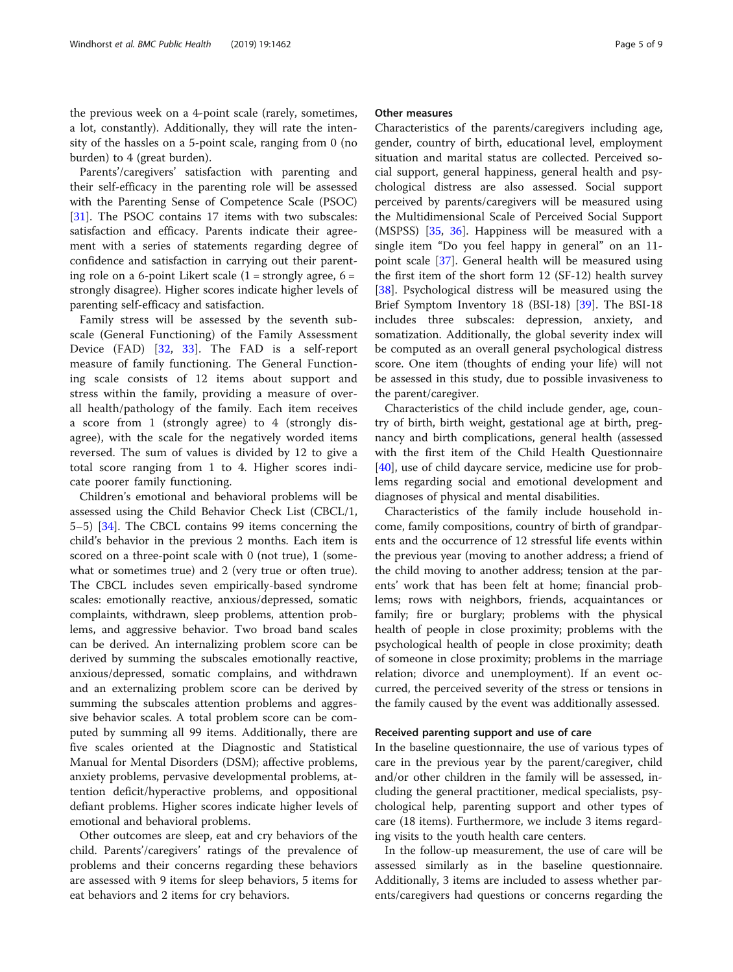Parents'/caregivers' satisfaction with parenting and their self-efficacy in the parenting role will be assessed with the Parenting Sense of Competence Scale (PSOC) [[31\]](#page-7-0). The PSOC contains 17 items with two subscales: satisfaction and efficacy. Parents indicate their agreement with a series of statements regarding degree of confidence and satisfaction in carrying out their parenting role on a 6-point Likert scale  $(1 =$  strongly agree,  $6 =$ strongly disagree). Higher scores indicate higher levels of parenting self-efficacy and satisfaction.

Family stress will be assessed by the seventh subscale (General Functioning) of the Family Assessment Device (FAD) [[32,](#page-7-0) [33](#page-7-0)]. The FAD is a self-report measure of family functioning. The General Functioning scale consists of 12 items about support and stress within the family, providing a measure of overall health/pathology of the family. Each item receives a score from 1 (strongly agree) to 4 (strongly disagree), with the scale for the negatively worded items reversed. The sum of values is divided by 12 to give a total score ranging from 1 to 4. Higher scores indicate poorer family functioning.

Children's emotional and behavioral problems will be assessed using the Child Behavior Check List (CBCL/1, 5–5) [[34](#page-7-0)]. The CBCL contains 99 items concerning the child's behavior in the previous 2 months. Each item is scored on a three-point scale with 0 (not true), 1 (somewhat or sometimes true) and 2 (very true or often true). The CBCL includes seven empirically-based syndrome scales: emotionally reactive, anxious/depressed, somatic complaints, withdrawn, sleep problems, attention problems, and aggressive behavior. Two broad band scales can be derived. An internalizing problem score can be derived by summing the subscales emotionally reactive, anxious/depressed, somatic complains, and withdrawn and an externalizing problem score can be derived by summing the subscales attention problems and aggressive behavior scales. A total problem score can be computed by summing all 99 items. Additionally, there are five scales oriented at the Diagnostic and Statistical Manual for Mental Disorders (DSM); affective problems, anxiety problems, pervasive developmental problems, attention deficit/hyperactive problems, and oppositional defiant problems. Higher scores indicate higher levels of emotional and behavioral problems.

Other outcomes are sleep, eat and cry behaviors of the child. Parents'/caregivers' ratings of the prevalence of problems and their concerns regarding these behaviors are assessed with 9 items for sleep behaviors, 5 items for eat behaviors and 2 items for cry behaviors.

#### Other measures

Characteristics of the parents/caregivers including age, gender, country of birth, educational level, employment situation and marital status are collected. Perceived social support, general happiness, general health and psychological distress are also assessed. Social support perceived by parents/caregivers will be measured using the Multidimensional Scale of Perceived Social Support (MSPSS) [[35,](#page-7-0) [36\]](#page-7-0). Happiness will be measured with a single item "Do you feel happy in general" on an 11 point scale [[37\]](#page-7-0). General health will be measured using the first item of the short form 12 (SF-12) health survey [[38\]](#page-7-0). Psychological distress will be measured using the Brief Symptom Inventory 18 (BSI-18) [\[39\]](#page-7-0). The BSI-18 includes three subscales: depression, anxiety, and somatization. Additionally, the global severity index will be computed as an overall general psychological distress score. One item (thoughts of ending your life) will not be assessed in this study, due to possible invasiveness to the parent/caregiver.

Characteristics of the child include gender, age, country of birth, birth weight, gestational age at birth, pregnancy and birth complications, general health (assessed with the first item of the Child Health Questionnaire [[40\]](#page-7-0), use of child daycare service, medicine use for problems regarding social and emotional development and diagnoses of physical and mental disabilities.

Characteristics of the family include household income, family compositions, country of birth of grandparents and the occurrence of 12 stressful life events within the previous year (moving to another address; a friend of the child moving to another address; tension at the parents' work that has been felt at home; financial problems; rows with neighbors, friends, acquaintances or family; fire or burglary; problems with the physical health of people in close proximity; problems with the psychological health of people in close proximity; death of someone in close proximity; problems in the marriage relation; divorce and unemployment). If an event occurred, the perceived severity of the stress or tensions in the family caused by the event was additionally assessed.

#### Received parenting support and use of care

In the baseline questionnaire, the use of various types of care in the previous year by the parent/caregiver, child and/or other children in the family will be assessed, including the general practitioner, medical specialists, psychological help, parenting support and other types of care (18 items). Furthermore, we include 3 items regarding visits to the youth health care centers.

In the follow-up measurement, the use of care will be assessed similarly as in the baseline questionnaire. Additionally, 3 items are included to assess whether parents/caregivers had questions or concerns regarding the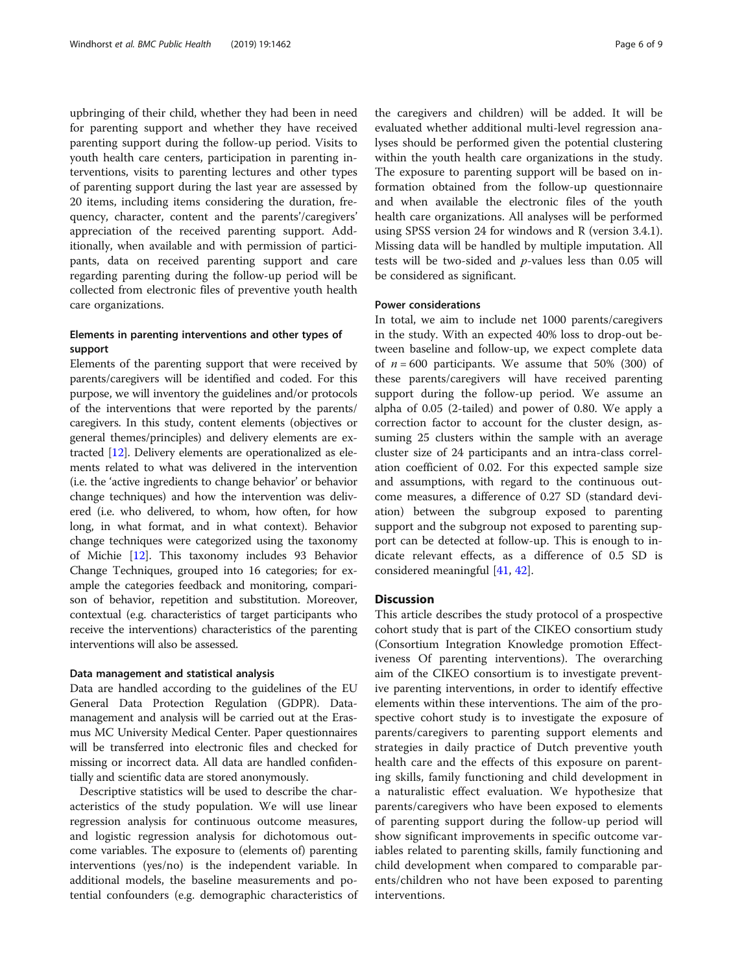upbringing of their child, whether they had been in need for parenting support and whether they have received parenting support during the follow-up period. Visits to youth health care centers, participation in parenting interventions, visits to parenting lectures and other types of parenting support during the last year are assessed by 20 items, including items considering the duration, frequency, character, content and the parents'/caregivers' appreciation of the received parenting support. Additionally, when available and with permission of participants, data on received parenting support and care regarding parenting during the follow-up period will be collected from electronic files of preventive youth health care organizations.

#### Elements in parenting interventions and other types of support

Elements of the parenting support that were received by parents/caregivers will be identified and coded. For this purpose, we will inventory the guidelines and/or protocols of the interventions that were reported by the parents/ caregivers. In this study, content elements (objectives or general themes/principles) and delivery elements are extracted [\[12\]](#page-7-0). Delivery elements are operationalized as elements related to what was delivered in the intervention (i.e. the 'active ingredients to change behavior' or behavior change techniques) and how the intervention was delivered (i.e. who delivered, to whom, how often, for how long, in what format, and in what context). Behavior change techniques were categorized using the taxonomy of Michie [\[12\]](#page-7-0). This taxonomy includes 93 Behavior Change Techniques, grouped into 16 categories; for example the categories feedback and monitoring, comparison of behavior, repetition and substitution. Moreover, contextual (e.g. characteristics of target participants who receive the interventions) characteristics of the parenting interventions will also be assessed.

#### Data management and statistical analysis

Data are handled according to the guidelines of the EU General Data Protection Regulation (GDPR). Datamanagement and analysis will be carried out at the Erasmus MC University Medical Center. Paper questionnaires will be transferred into electronic files and checked for missing or incorrect data. All data are handled confidentially and scientific data are stored anonymously.

Descriptive statistics will be used to describe the characteristics of the study population. We will use linear regression analysis for continuous outcome measures, and logistic regression analysis for dichotomous outcome variables. The exposure to (elements of) parenting interventions (yes/no) is the independent variable. In additional models, the baseline measurements and potential confounders (e.g. demographic characteristics of

the caregivers and children) will be added. It will be evaluated whether additional multi-level regression analyses should be performed given the potential clustering within the youth health care organizations in the study. The exposure to parenting support will be based on information obtained from the follow-up questionnaire and when available the electronic files of the youth health care organizations. All analyses will be performed using SPSS version 24 for windows and R (version 3.4.1). Missing data will be handled by multiple imputation. All tests will be two-sided and  $p$ -values less than 0.05 will be considered as significant.

#### Power considerations

In total, we aim to include net 1000 parents/caregivers in the study. With an expected 40% loss to drop-out between baseline and follow-up, we expect complete data of  $n = 600$  participants. We assume that 50% (300) of these parents/caregivers will have received parenting support during the follow-up period. We assume an alpha of 0.05 (2-tailed) and power of 0.80. We apply a correction factor to account for the cluster design, assuming 25 clusters within the sample with an average cluster size of 24 participants and an intra-class correlation coefficient of 0.02. For this expected sample size and assumptions, with regard to the continuous outcome measures, a difference of 0.27 SD (standard deviation) between the subgroup exposed to parenting support and the subgroup not exposed to parenting support can be detected at follow-up. This is enough to indicate relevant effects, as a difference of 0.5 SD is considered meaningful [[41,](#page-7-0) [42](#page-7-0)].

#### **Discussion**

This article describes the study protocol of a prospective cohort study that is part of the CIKEO consortium study (Consortium Integration Knowledge promotion Effectiveness Of parenting interventions). The overarching aim of the CIKEO consortium is to investigate preventive parenting interventions, in order to identify effective elements within these interventions. The aim of the prospective cohort study is to investigate the exposure of parents/caregivers to parenting support elements and strategies in daily practice of Dutch preventive youth health care and the effects of this exposure on parenting skills, family functioning and child development in a naturalistic effect evaluation. We hypothesize that parents/caregivers who have been exposed to elements of parenting support during the follow-up period will show significant improvements in specific outcome variables related to parenting skills, family functioning and child development when compared to comparable parents/children who not have been exposed to parenting interventions.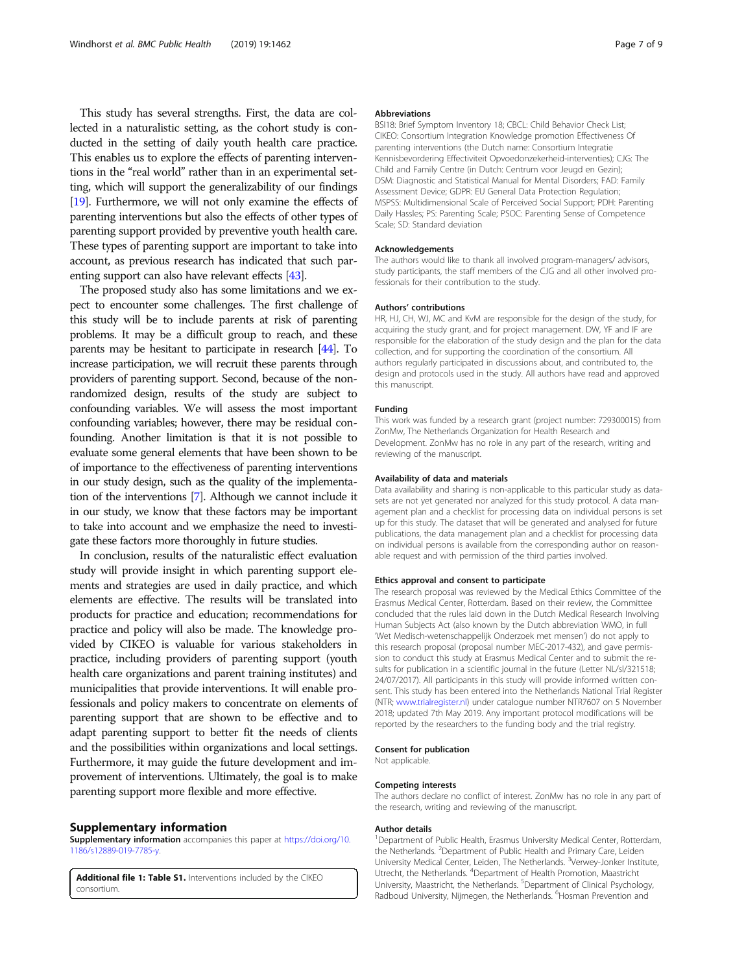<span id="page-6-0"></span>This study has several strengths. First, the data are collected in a naturalistic setting, as the cohort study is conducted in the setting of daily youth health care practice. This enables us to explore the effects of parenting interventions in the "real world" rather than in an experimental setting, which will support the generalizability of our findings [[19](#page-7-0)]. Furthermore, we will not only examine the effects of parenting interventions but also the effects of other types of parenting support provided by preventive youth health care. These types of parenting support are important to take into account, as previous research has indicated that such parenting support can also have relevant effects [\[43](#page-7-0)].

The proposed study also has some limitations and we expect to encounter some challenges. The first challenge of this study will be to include parents at risk of parenting problems. It may be a difficult group to reach, and these parents may be hesitant to participate in research [\[44\]](#page-8-0). To increase participation, we will recruit these parents through providers of parenting support. Second, because of the nonrandomized design, results of the study are subject to confounding variables. We will assess the most important confounding variables; however, there may be residual confounding. Another limitation is that it is not possible to evaluate some general elements that have been shown to be of importance to the effectiveness of parenting interventions in our study design, such as the quality of the implementation of the interventions [[7](#page-7-0)]. Although we cannot include it in our study, we know that these factors may be important to take into account and we emphasize the need to investigate these factors more thoroughly in future studies.

In conclusion, results of the naturalistic effect evaluation study will provide insight in which parenting support elements and strategies are used in daily practice, and which elements are effective. The results will be translated into products for practice and education; recommendations for practice and policy will also be made. The knowledge provided by CIKEO is valuable for various stakeholders in practice, including providers of parenting support (youth health care organizations and parent training institutes) and municipalities that provide interventions. It will enable professionals and policy makers to concentrate on elements of parenting support that are shown to be effective and to adapt parenting support to better fit the needs of clients and the possibilities within organizations and local settings. Furthermore, it may guide the future development and improvement of interventions. Ultimately, the goal is to make parenting support more flexible and more effective.

#### Supplementary information

Supplementary information accompanies this paper at [https://doi.org/10.](https://doi.org/10.1186/s12889-019-7785-y) [1186/s12889-019-7785-y](https://doi.org/10.1186/s12889-019-7785-y).

Additional file 1: Table S1. Interventions included by the CIKEO consortium.

#### Abbreviations

BSI18: Brief Symptom Inventory 18; CBCL: Child Behavior Check List; CIKEO: Consortium Integration Knowledge promotion Effectiveness Of parenting interventions (the Dutch name: Consortium Integratie Kennisbevordering Effectiviteit Opvoedonzekerheid-interventies); CJG: The Child and Family Centre (in Dutch: Centrum voor Jeugd en Gezin); DSM: Diagnostic and Statistical Manual for Mental Disorders; FAD: Family Assessment Device; GDPR: EU General Data Protection Regulation; MSPSS: Multidimensional Scale of Perceived Social Support; PDH: Parenting Daily Hassles; PS: Parenting Scale; PSOC: Parenting Sense of Competence Scale; SD: Standard deviation

#### Acknowledgements

The authors would like to thank all involved program-managers/ advisors, study participants, the staff members of the CJG and all other involved professionals for their contribution to the study.

#### Authors' contributions

HR, HJ, CH, WJ, MC and KvM are responsible for the design of the study, for acquiring the study grant, and for project management. DW, YF and IF are responsible for the elaboration of the study design and the plan for the data collection, and for supporting the coordination of the consortium. All authors regularly participated in discussions about, and contributed to, the design and protocols used in the study. All authors have read and approved this manuscript.

#### Funding

This work was funded by a research grant (project number: 729300015) from ZonMw, The Netherlands Organization for Health Research and Development. ZonMw has no role in any part of the research, writing and reviewing of the manuscript.

#### Availability of data and materials

Data availability and sharing is non-applicable to this particular study as datasets are not yet generated nor analyzed for this study protocol. A data management plan and a checklist for processing data on individual persons is set up for this study. The dataset that will be generated and analysed for future publications, the data management plan and a checklist for processing data on individual persons is available from the corresponding author on reasonable request and with permission of the third parties involved.

#### Ethics approval and consent to participate

The research proposal was reviewed by the Medical Ethics Committee of the Erasmus Medical Center, Rotterdam. Based on their review, the Committee concluded that the rules laid down in the Dutch Medical Research Involving Human Subjects Act (also known by the Dutch abbreviation WMO, in full 'Wet Medisch-wetenschappelijk Onderzoek met mensen') do not apply to this research proposal (proposal number MEC-2017-432), and gave permission to conduct this study at Erasmus Medical Center and to submit the results for publication in a scientific journal in the future (Letter NL/sl/321518; 24/07/2017). All participants in this study will provide informed written consent. This study has been entered into the Netherlands National Trial Register (NTR; [www.trialregister.nl\)](http://www.trialregister.nl) under catalogue number NTR7607 on 5 November 2018; updated 7th May 2019. Any important protocol modifications will be reported by the researchers to the funding body and the trial registry.

#### Consent for publication

Not applicable.

#### Competing interests

The authors declare no conflict of interest. ZonMw has no role in any part of the research, writing and reviewing of the manuscript.

#### Author details

<sup>1</sup>Department of Public Health, Erasmus University Medical Center, Rotterdam, the Netherlands. <sup>2</sup>Department of Public Health and Primary Care, Leiden University Medical Center, Leiden, The Netherlands. <sup>3</sup>Verwey-Jonker Institute Utrecht, the Netherlands. <sup>4</sup> Department of Health Promotion, Maastricht University, Maastricht, the Netherlands. <sup>5</sup>Department of Clinical Psychology Radboud University, Nijmegen, the Netherlands. <sup>6</sup>Hosman Prevention and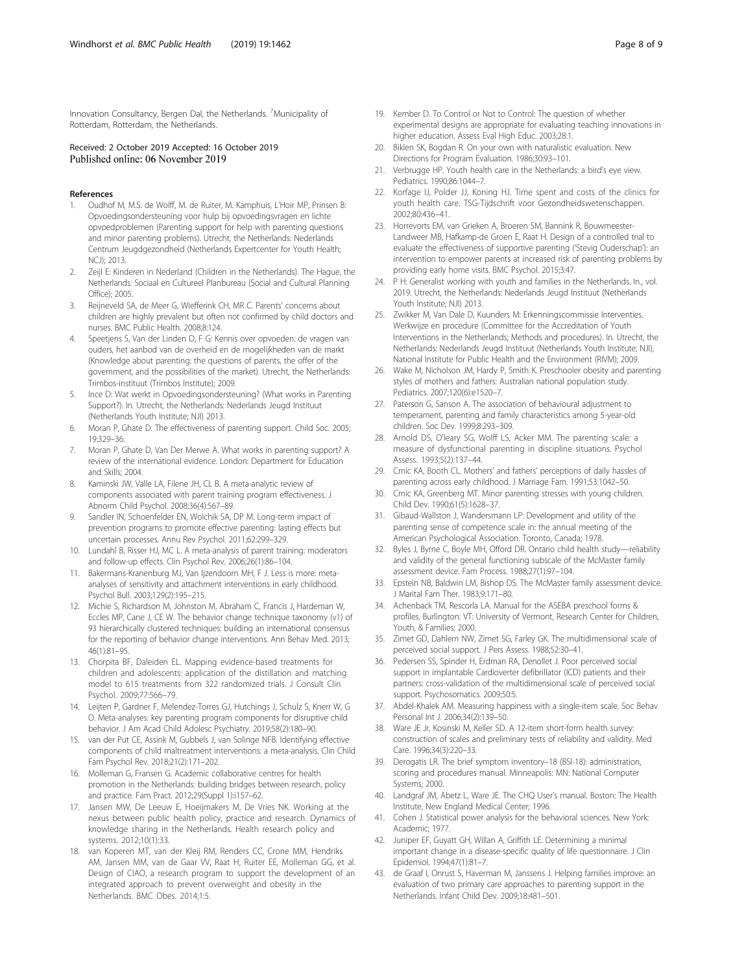<span id="page-7-0"></span>Innovation Consultancy, Bergen Dal, the Netherlands. <sup>7</sup>Municipality of Rotterdam, Rotterdam, the Netherlands.

#### Received: 2 October 2019 Accepted: 16 October 2019 Published online: 06 November 2019

#### References

- 1. Oudhof M, M.S. de Wolff, M. de Ruiter, M. Kamphuis, L'Hoir MP, Prinsen B: Opvoedingsondersteuning voor hulp bij opvoedingsvragen en lichte opvoedproblemen (Parenting support for help with parenting questions and minor parenting problems). Utrecht, the Netherlands: Nederlands Centrum Jeugdgezondheid (Netherlands Expertcenter for Youth Health; NCJ); 2013.
- 2. Zeijl E: Kinderen in Nederland (Children in the Netherlands). The Hague, the Netherlands: Sociaal en Cultureel Planbureau (Social and Cultural Planning Office); 2005.
- 3. Reijneveld SA, de Meer G, Wiefferink CH, MR C. Parents' concerns about children are highly prevalent but often not confirmed by child doctors and nurses. BMC Public Health. 2008;8:124.
- 4. Speetjens S, Van der Linden D, F G: Kennis over opvoeden: de vragen van ouders, het aanbod van de overheid en de mogelijkheden van de markt (Knowledge about parenting: the questions of parents, the offer of the government, and the possibilities of the market). Utrecht, the Netherlands: Trimbos-instituut (Trimbos Institute); 2009.
- 5. Ince D: Wat werkt in Opvoedingsondersteuning? (What works in Parenting Support?). In. Utrecht, the Netherlands: Nederlands Jeugd Instituut (Netherlands Youth Institute; NJI) 2013.
- 6. Moran P, Ghate D. The effectiveness of parenting support. Child Soc. 2005; 19:329–36.
- 7. Moran P, Ghate D, Van Der Merwe A. What works in parenting support? A review of the international evidence. London: Department for Education and Skills; 2004.
- 8. Kaminski JW, Valle LA, Filene JH, CL B. A meta-analytic review of components associated with parent training program effectiveness. J Abnorm Child Psychol. 2008;36(4):567–89.
- 9. Sandler IN, Schoenfelder EN, Wolchik SA, DP M. Long-term impact of prevention programs to promote effective parenting: lasting effects but uncertain processes. Annu Rev Psychol. 2011;62:299–329.
- 10. Lundahl B, Risser HJ, MC L. A meta-analysis of parent training: moderators and follow-up effects. Clin Psychol Rev. 2006;26(1):86–104.
- 11. Bakermans-Kranenburg MJ, Van Ijzendoorn MH, F J. Less is more: metaanalyses of sensitivity and attachment interventions in early childhood. Psychol Bull. 2003;129(2):195–215.
- 12. Michie S, Richardson M, Johnston M, Abraham C, Francis J, Hardeman W, Eccles MP, Cane J, CE W. The behavior change technique taxonomy (v1) of 93 hierarchically clustered techniques: building an international consensus for the reporting of behavior change interventions. Ann Behav Med. 2013; 46(1):81–95.
- 13. Chorpita BF, Daleiden EL. Mapping evidence-based treatments for children and adolescents: application of the distillation and matching model to 615 treatments from 322 randomized trials. J Consult Clin Psychol. 2009;77:566–79.
- 14. Leijten P, Gardner F, Melendez-Torres GJ, Hutchings J, Schulz S, Knerr W, G O. Meta-analyses: key parenting program components for disruptive child behavior. J Am Acad Child Adolesc Psychiatry. 2019;58(2):180–90.
- 15. van der Put CE, Assink M, Gubbels J, van Solinge NFB. Identifying effective components of child maltreatment interventions: a meta-analysis. Clin Child Fam Psychol Rev. 2018;21(2):171–202.
- 16. Molleman G, Fransen G. Academic collaborative centres for health promotion in the Netherlands: building bridges between research, policy and practice. Fam Pract. 2012;29(Suppl 1):i157–62.
- 17. Jansen MW, De Leeuw E, Hoeijmakers M, De Vries NK. Working at the nexus between public health policy, practice and research. Dynamics of knowledge sharing in the Netherlands. Health research policy and systems. 2012;10(1):33.
- 18. van Koperen MT, van der Kleij RM, Renders CC, Crone MM, Hendriks AM, Jansen MM, van de Gaar VV, Raat H, Ruiter EE, Molleman GG, et al. Design of CIAO, a research program to support the development of an integrated approach to prevent overweight and obesity in the Netherlands. BMC Obes. 2014;1:5.
- 19. Kember D. To Control or Not to Control: The question of whether experimental designs are appropriate for evaluating teaching innovations in higher education. Assess Eval High Educ. 2003;28:1.
- 20. Biklen SK, Bogdan R. On your own with naturalistic evaluation. New Directions for Program Evaluation. 1986;30:93–101.
- 21. Verbrugge HP. Youth health care in the Netherlands: a bird's eye view. Pediatrics. 1990;86:1044–7.
- 22. Korfage IJ, Polder JJ, Koning HJ. Time spent and costs of the clinics for youth health care. TSG-Tijdschrift voor Gezondheidswetenschappen. 2002;80:436–41.
- 23. Horrevorts EM, van Grieken A, Broeren SM, Bannink R, Bouwmeester-Landweer MB, Hafkamp-de Groen E, Raat H. Design of a controlled trial to evaluate the effectiveness of supportive parenting ('Stevig Ouderschap'): an intervention to empower parents at increased risk of parenting problems by providing early home visits. BMC Psychol. 2015;3:47.
- P H: Generalist working with youth and families in the Netherlands. In., vol. 2019. Utrecht, the Netherlands: Nederlands Jeugd Instituut (Netherlands Youth Institute; NJI) 2013.
- 25. Zwikker M, Van Dale D, Kuunders M: Erkenningscommissie Interventies. Werkwijze en procedure (Committee for the Accreditation of Youth Interventions in the Netherlands; Methods and procedures). In. Utrecht, the Netherlands: Nederlands Jeugd Instituut (Netherlands Youth Institute; NJI), National Institute for Public Health and the Environment (RIVM); 2009.
- 26. Wake M, Nicholson JM, Hardy P, Smith K. Preschooler obesity and parenting styles of mothers and fathers: Australian national population study. Pediatrics. 2007;120(6):e1520–7.
- 27. Paterson G, Sanson A. The association of behavioural adjustment to temperament, parenting and family characteristics among 5-year-old children. Soc Dev. 1999;8:293–309.
- 28. Arnold DS, O'leary SG, Wolff LS, Acker MM. The parenting scale: a measure of dysfunctional parenting in discipline situations. Psychol Assess. 1993;5(2):137–44.
- 29. Crnic KA, Booth CL. Mothers' and fathers' perceptions of daily hassles of parenting across early childhood. J Marriage Fam. 1991;53:1042–50.
- 30. Crnic KA, Greenberg MT. Minor parenting stresses with young children. Child Dev. 1990;61(5):1628–37.
- 31. Gibaud-Wallston J, Wandersmann LP: Development and utility of the parenting sense of competence scale in: the annual meeting of the American Psychological Association. Toronto, Canada; 1978.
- 32. Byles J, Byrne C, Boyle MH, Offord DR. Ontario child health study—reliability and validity of the general functioning subscale of the McMaster family assessment device. Fam Process. 1988;27(1):97–104.
- 33. Epstein NB, Baldwin LM, Bishop DS. The McMaster family assessment device. J Marital Fam Ther. 1983;9:171–80.
- 34. Achenback TM, Rescorla LA. Manual for the ASEBA preschool forms & profiles. Burlington: VT: University of Vermont, Research Center for Children, Youth, & Families; 2000.
- 35. Zimet GD, Dahlem NW, Zimet SG, Farley GK. The multidimensional scale of perceived social support. J Pers Assess. 1988;52:30–41.
- 36. Pedersen SS, Spinder H, Erdman RA, Denollet J. Poor perceived social support in implantable Cardioverter defibrillator (ICD) patients and their partners: cross-validation of the multidimensional scale of perceived social support. Psychosomatics. 2009;50:5.
- 37. Abdel-Khalek AM. Measuring happiness with a single-item scale. Soc Behav Personal Int J. 2006;34(2):139–50.
- 38. Ware JE Jr, Kosinski M, Keller SD. A 12-item short-form health survey: construction of scales and preliminary tests of reliability and validity. Med Care. 1996;34(3):220–33.
- 39. Derogatis LR. The brief symptom inventory–18 (BSI-18): administration, scoring and procedures manual. Minneapolis: MN: National Computer Systems; 2000.
- 40. Landgraf JM, Abetz L, Ware JE. The CHQ User's manual. Boston: The Health Institute, New England Medical Center; 1996.
- 41. Cohen J. Statistical power analysis for the behavioral sciences. New York: Academic; 1977.
- 42. Juniper EF, Guyatt GH, Willan A, Griffith LE. Determining a minimal important change in a disease-specific quality of life questionnaire. J Clin Epidemiol. 1994;47(1):81–7.
- 43. de Graaf I, Onrust S, Haverman M, Janssens J. Helping families improve: an evaluation of two primary care approaches to parenting support in the Netherlands. Infant Child Dev. 2009;18:481–501.